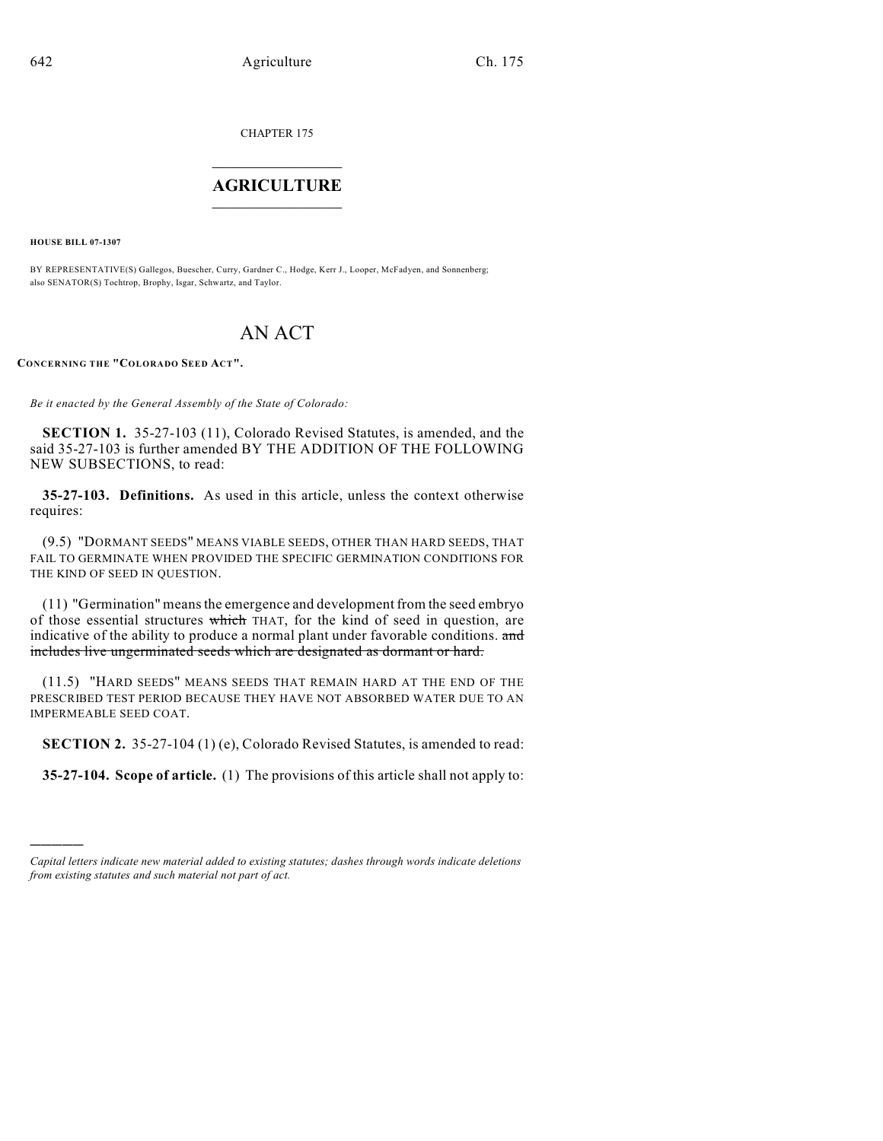CHAPTER 175

## $\mathcal{L}_\text{max}$  . The set of the set of the set of the set of the set of the set of the set of the set of the set of the set of the set of the set of the set of the set of the set of the set of the set of the set of the set **AGRICULTURE**  $\_$   $\_$   $\_$   $\_$   $\_$   $\_$   $\_$   $\_$

**HOUSE BILL 07-1307**

)))))

BY REPRESENTATIVE(S) Gallegos, Buescher, Curry, Gardner C., Hodge, Kerr J., Looper, McFadyen, and Sonnenberg; also SENATOR(S) Tochtrop, Brophy, Isgar, Schwartz, and Taylor.

## AN ACT

**CONCERNING THE "COLORADO SEED ACT".**

*Be it enacted by the General Assembly of the State of Colorado:*

**SECTION 1.** 35-27-103 (11), Colorado Revised Statutes, is amended, and the said 35-27-103 is further amended BY THE ADDITION OF THE FOLLOWING NEW SUBSECTIONS, to read:

**35-27-103. Definitions.** As used in this article, unless the context otherwise requires:

(9.5) "DORMANT SEEDS" MEANS VIABLE SEEDS, OTHER THAN HARD SEEDS, THAT FAIL TO GERMINATE WHEN PROVIDED THE SPECIFIC GERMINATION CONDITIONS FOR THE KIND OF SEED IN QUESTION.

(11) "Germination" means the emergence and development from the seed embryo of those essential structures which THAT, for the kind of seed in question, are indicative of the ability to produce a normal plant under favorable conditions. and includes live ungerminated seeds which are designated as dormant or hard.

(11.5) "HARD SEEDS" MEANS SEEDS THAT REMAIN HARD AT THE END OF THE PRESCRIBED TEST PERIOD BECAUSE THEY HAVE NOT ABSORBED WATER DUE TO AN IMPERMEABLE SEED COAT.

**SECTION 2.** 35-27-104 (1) (e), Colorado Revised Statutes, is amended to read:

**35-27-104. Scope of article.** (1) The provisions of this article shall not apply to:

*Capital letters indicate new material added to existing statutes; dashes through words indicate deletions from existing statutes and such material not part of act.*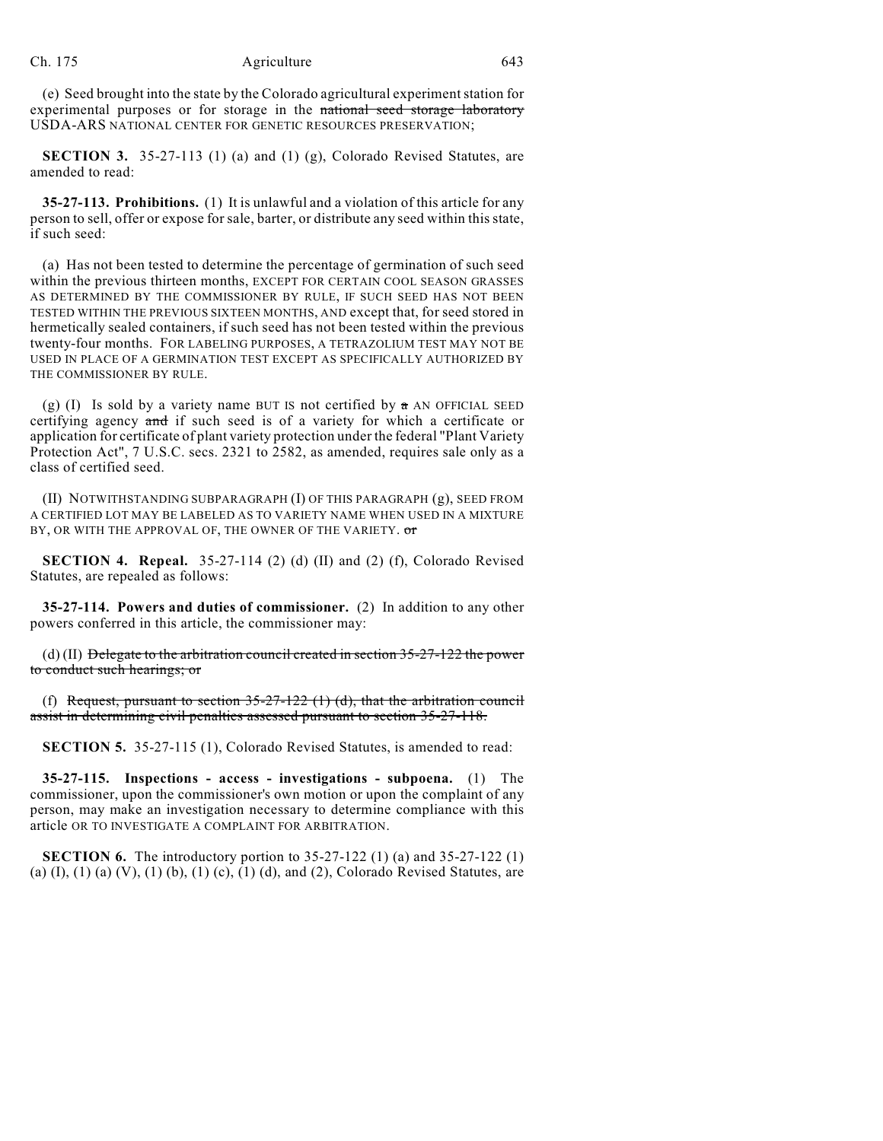## Ch. 175 Agriculture 643

(e) Seed brought into the state by the Colorado agricultural experiment station for experimental purposes or for storage in the national seed storage laboratory USDA-ARS NATIONAL CENTER FOR GENETIC RESOURCES PRESERVATION;

**SECTION 3.** 35-27-113 (1) (a) and (1) (g), Colorado Revised Statutes, are amended to read:

**35-27-113. Prohibitions.** (1) It is unlawful and a violation of this article for any person to sell, offer or expose for sale, barter, or distribute any seed within this state, if such seed:

(a) Has not been tested to determine the percentage of germination of such seed within the previous thirteen months, EXCEPT FOR CERTAIN COOL SEASON GRASSES AS DETERMINED BY THE COMMISSIONER BY RULE, IF SUCH SEED HAS NOT BEEN TESTED WITHIN THE PREVIOUS SIXTEEN MONTHS, AND except that, for seed stored in hermetically sealed containers, if such seed has not been tested within the previous twenty-four months. FOR LABELING PURPOSES, A TETRAZOLIUM TEST MAY NOT BE USED IN PLACE OF A GERMINATION TEST EXCEPT AS SPECIFICALLY AUTHORIZED BY THE COMMISSIONER BY RULE.

(g) (I) Is sold by a variety name BUT IS not certified by  $\pi$  AN OFFICIAL SEED certifying agency and if such seed is of a variety for which a certificate or application for certificate of plant variety protection under the federal "Plant Variety Protection Act", 7 U.S.C. secs. 2321 to 2582, as amended, requires sale only as a class of certified seed.

(II) NOTWITHSTANDING SUBPARAGRAPH (I) OF THIS PARAGRAPH (g), SEED FROM A CERTIFIED LOT MAY BE LABELED AS TO VARIETY NAME WHEN USED IN A MIXTURE BY, OR WITH THE APPROVAL OF, THE OWNER OF THE VARIETY.  $\sigma$ 

**SECTION 4. Repeal.** 35-27-114 (2) (d) (II) and (2) (f), Colorado Revised Statutes, are repealed as follows:

**35-27-114. Powers and duties of commissioner.** (2) In addition to any other powers conferred in this article, the commissioner may:

(d) (II) Delegate to the arbitration council created in section 35-27-122 the power to conduct such hearings; or

(f) Request, pursuant to section  $35-27-122$  (1) (d), that the arbitration council assist in determining civil penalties assessed pursuant to section 35-27-118.

**SECTION 5.** 35-27-115 (1), Colorado Revised Statutes, is amended to read:

**35-27-115. Inspections - access - investigations - subpoena.** (1) The commissioner, upon the commissioner's own motion or upon the complaint of any person, may make an investigation necessary to determine compliance with this article OR TO INVESTIGATE A COMPLAINT FOR ARBITRATION.

**SECTION 6.** The introductory portion to 35-27-122 (1) (a) and 35-27-122 (1) (a)  $(I)$ ,  $(I)$   $(a)$   $(V)$ ,  $(I)$   $(b)$ ,  $(I)$   $(c)$ ,  $(I)$   $(d)$ , and  $(2)$ , Colorado Revised Statutes, are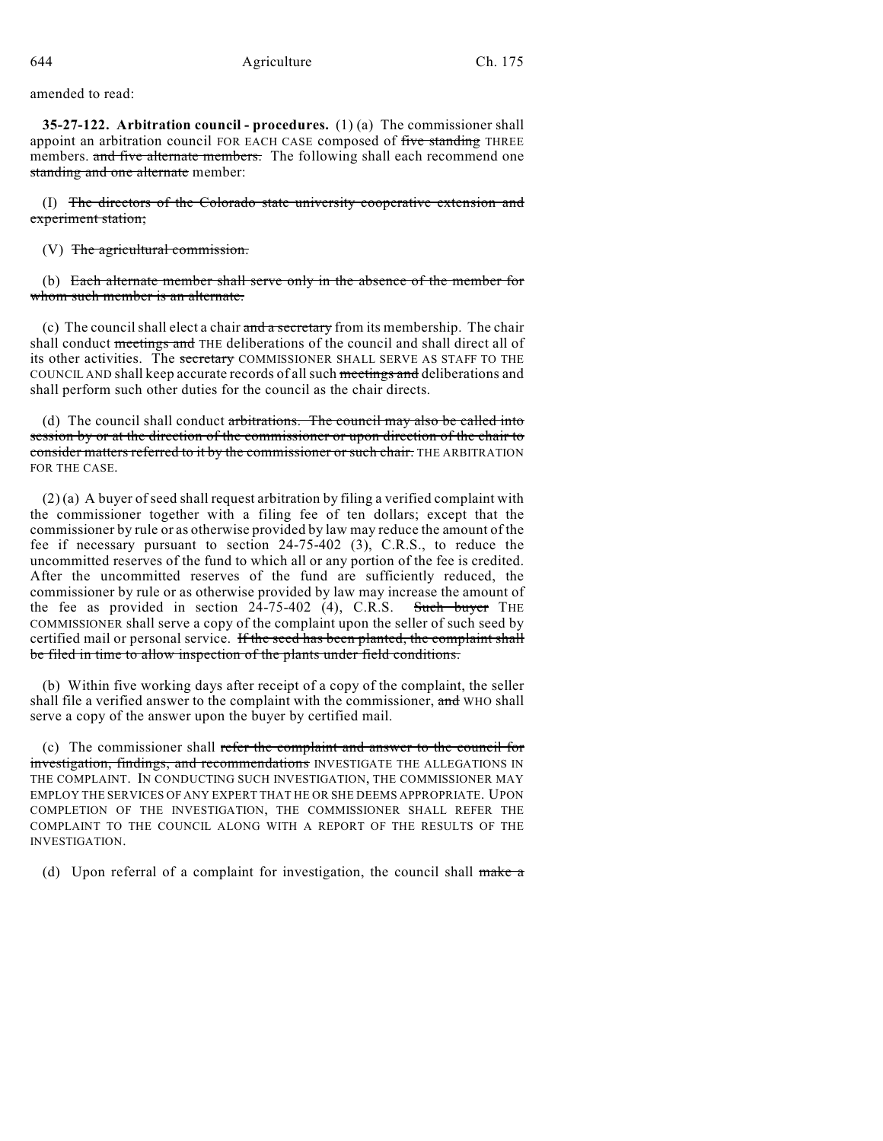amended to read:

**35-27-122. Arbitration council - procedures.** (1) (a) The commissioner shall appoint an arbitration council FOR EACH CASE composed of five standing THREE members. and five alternate members. The following shall each recommend one standing and one alternate member:

(I) The directors of the Colorado state university cooperative extension and experiment station;

(V) The agricultural commission.

(b) Each alternate member shall serve only in the absence of the member for whom such member is an alternate.

(c) The council shall elect a chair  $\frac{d}{dx}$  secretary from its membership. The chair shall conduct meetings and THE deliberations of the council and shall direct all of its other activities. The secretary COMMISSIONER SHALL SERVE AS STAFF TO THE COUNCIL AND shall keep accurate records of all such meetings and deliberations and shall perform such other duties for the council as the chair directs.

(d) The council shall conduct arbitrations. The council may also be called into session by or at the direction of the commissioner or upon direction of the chair to consider matters referred to it by the commissioner or such chair. THE ARBITRATION FOR THE CASE.

(2) (a) A buyer of seed shall request arbitration by filing a verified complaint with the commissioner together with a filing fee of ten dollars; except that the commissioner by rule or as otherwise provided by law may reduce the amount of the fee if necessary pursuant to section 24-75-402 (3), C.R.S., to reduce the uncommitted reserves of the fund to which all or any portion of the fee is credited. After the uncommitted reserves of the fund are sufficiently reduced, the commissioner by rule or as otherwise provided by law may increase the amount of the fee as provided in section  $24-75-402$  (4), C.R.S. Such buyer THE COMMISSIONER shall serve a copy of the complaint upon the seller of such seed by certified mail or personal service. If the seed has been planted, the complaint shall be filed in time to allow inspection of the plants under field conditions.

(b) Within five working days after receipt of a copy of the complaint, the seller shall file a verified answer to the complaint with the commissioner, and WHO shall serve a copy of the answer upon the buyer by certified mail.

(c) The commissioner shall refer the complaint and answer to the council for investigation, findings, and recommendations INVESTIGATE THE ALLEGATIONS IN THE COMPLAINT. IN CONDUCTING SUCH INVESTIGATION, THE COMMISSIONER MAY EMPLOY THE SERVICES OF ANY EXPERT THAT HE OR SHE DEEMS APPROPRIATE. UPON COMPLETION OF THE INVESTIGATION, THE COMMISSIONER SHALL REFER THE COMPLAINT TO THE COUNCIL ALONG WITH A REPORT OF THE RESULTS OF THE INVESTIGATION.

(d) Upon referral of a complaint for investigation, the council shall  $\frac{m}{\text{m}}$